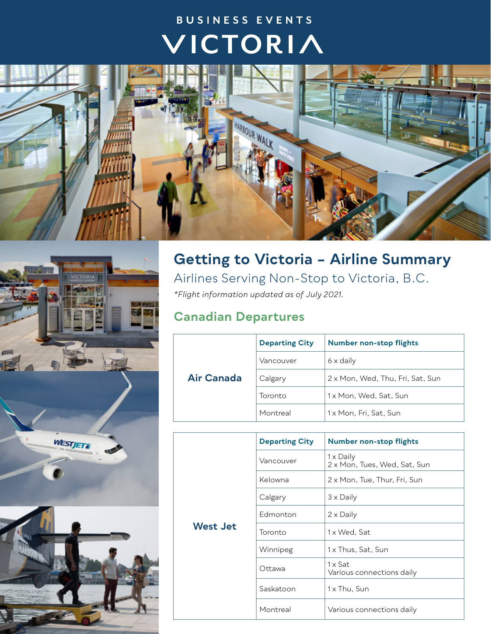## BUSINESS EVENTS VICTORIA





## **Getting to Victoria – Airline Summary** Airlines Serving Non-Stop to Victoria, B.C.

*\*Flight information updated as of July 2021.* 

## **Canadian Departures**

|                   | <b>Departing City</b> | <b>Number non-stop flights</b>   |
|-------------------|-----------------------|----------------------------------|
|                   | Vancouver             | 6 x daily                        |
| <b>Air Canada</b> | Calgary               | 2 x Mon, Wed, Thu, Fri, Sat, Sun |
|                   | Toronto               | 1x Mon, Wed, Sat, Sun            |
|                   | Montreal              | 1x Mon, Fri, Sat, Sun            |

|          | <b>Departing City</b> | <b>Number non-stop flights</b>              |
|----------|-----------------------|---------------------------------------------|
|          | Vancouver             | 1 x Daily<br>2 x Mon, Tues, Wed, Sat, Sun   |
|          | Kelowna               | 2 x Mon, Tue, Thur, Fri, Sun                |
|          | Calgary               | 3 x Daily                                   |
|          | Edmonton              | 2 x Daily                                   |
| West Jet | Toronto               | 1 x Wed, Sat                                |
|          | Winnipeg              | 1 x Thus, Sat, Sun                          |
|          | Ottawa                | $1 \times$ Sat<br>Various connections daily |
|          | Saskatoon             | 1 x Thu, Sun                                |
|          | Montreal              | Various connections daily                   |